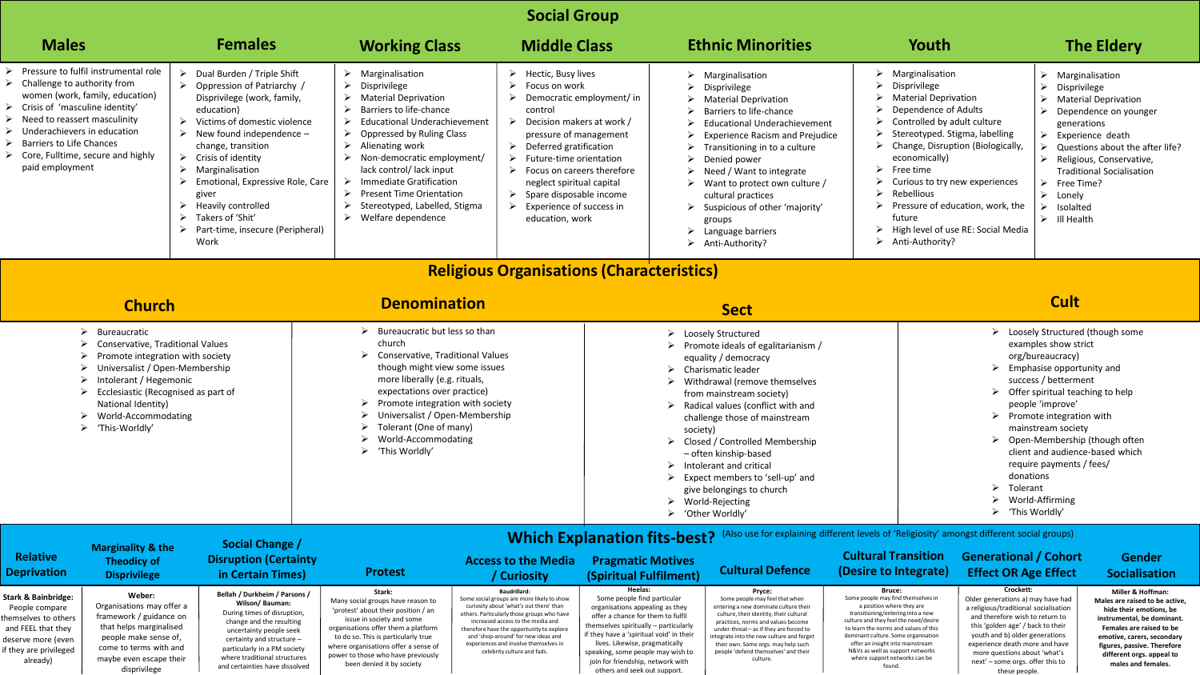## **Social Group**

| <b>Males</b>                                                                                                                                                                                                                                                                                                                                                                                                                                                                                                                                                                                                                                                                                                                                                                                                                                                   |                                                                | <b>Females</b>                                                                                                                                                                                                                                                                                                                                                                                                                                   |                                                                                                                                                                                                                                                                                                                                                                                                                  | <b>Working Class</b><br><b>Middle Class</b>                                                                                                                                              |                                                                                                                                                                                                                                                                                                                                                                                                                                                                                       | <b>Ethnic Minorities</b>                                                                                                                                                                                                                                   |                                                                                                                                                                                                                                                                                                                                                                                                                             | Youth                                                                                                                                                                                                                                       | <b>The Eldery</b>                                                                                                      |  |
|----------------------------------------------------------------------------------------------------------------------------------------------------------------------------------------------------------------------------------------------------------------------------------------------------------------------------------------------------------------------------------------------------------------------------------------------------------------------------------------------------------------------------------------------------------------------------------------------------------------------------------------------------------------------------------------------------------------------------------------------------------------------------------------------------------------------------------------------------------------|----------------------------------------------------------------|--------------------------------------------------------------------------------------------------------------------------------------------------------------------------------------------------------------------------------------------------------------------------------------------------------------------------------------------------------------------------------------------------------------------------------------------------|------------------------------------------------------------------------------------------------------------------------------------------------------------------------------------------------------------------------------------------------------------------------------------------------------------------------------------------------------------------------------------------------------------------|------------------------------------------------------------------------------------------------------------------------------------------------------------------------------------------|---------------------------------------------------------------------------------------------------------------------------------------------------------------------------------------------------------------------------------------------------------------------------------------------------------------------------------------------------------------------------------------------------------------------------------------------------------------------------------------|------------------------------------------------------------------------------------------------------------------------------------------------------------------------------------------------------------------------------------------------------------|-----------------------------------------------------------------------------------------------------------------------------------------------------------------------------------------------------------------------------------------------------------------------------------------------------------------------------------------------------------------------------------------------------------------------------|---------------------------------------------------------------------------------------------------------------------------------------------------------------------------------------------------------------------------------------------|------------------------------------------------------------------------------------------------------------------------|--|
| Pressure to fulfil instrumental role<br>$\triangleright$<br>Dual Burden / Triple Shift<br>$\triangleright$ Challenge to authority from<br>> Oppression of Patriarchy /<br>women (work, family, education)<br>Disprivilege (work, family,<br>Crisis of 'masculine identity'<br>education)<br>Need to reassert masculinity<br>Victims of domestic violence<br>➤<br>Underachievers in education<br>$\triangleright$ New found independence –<br><b>Barriers to Life Chances</b><br>change, transition<br>$\triangleright$ Core, Fulltime, secure and highly<br>$\triangleright$ Crisis of identity<br>paid employment<br>$\blacktriangleright$<br>Marginalisation<br>$\triangleright$ Emotional, Expressive Role, Care<br>giver<br>$\triangleright$ Heavily controlled<br>Takers of 'Shit'<br>$\blacktriangleright$<br>> Part-time, insecure (Peripheral)<br>Work |                                                                | Marginalisation<br>➤<br>➤<br>Disprivilege<br><b>Material Deprivation</b><br>➤<br>Barriers to life-chance<br>⋗<br><b>Educational Underachievement</b><br>➤<br>Oppressed by Ruling Class<br>➤<br>Alienating work<br>➤<br>➤<br>Non-democratic employment/<br>lack control/ lack input<br>Immediate Gratification<br>➤<br><b>Present Time Orientation</b><br>➤<br>➤<br>Stereotyped, Labelled, Stigma<br>Welfare dependence<br>➤                      | $\triangleright$ Hectic, Busy lives<br>$\triangleright$ Focus on work<br>↘<br>control<br>Decision makers at work /<br>➤<br>pressure of management<br>Deferred gratification<br>➤<br>$\blacktriangleright$<br>Future-time orientation<br>$\triangleright$ Focus on careers therefore<br>neglect spiritual capital<br>Spare disposable income<br>➤<br>$\triangleright$ Experience of success in<br>education, work | Democratic employment/ in<br>➤                                                                                                                                                           | $\triangleright$ Marginalisation<br><b>Disprivilege</b><br><b>Material Deprivation</b><br>Barriers to life-chance<br><b>Educational Underachievement</b><br><b>Experience Racism and Prejudice</b><br>Transitioning in to a culture<br>Denied power<br>Need / Want to integrate<br>Want to protect own culture /<br>cultural practices<br>$\triangleright$ Suspicious of other 'majority'<br>groups<br>Language barriers<br>> Anti-Authority?                                         | Marginalisation<br>➤<br>Disprivilege<br><b>Material Deprivation</b><br>Dependence of Adults<br>Controlled by adult culture<br>⋗<br>➤<br>economically)<br>Free time<br>⋗<br>⋗<br>Rebellious<br>$\blacktriangleright$<br>future<br>➤<br>Anti-Authority?<br>➤ | ↘<br>↘<br>$\blacktriangleright$<br>Stereotyped. Stigma, labelling<br>➤<br>Change, Disruption (Biologically,<br>$\blacktriangleright$<br>Curious to try new experiences<br>↘<br>$\triangleright$ Lonely<br>Pressure of education, work, the<br>↘<br>Isolalted<br>$\triangleright$ III Health<br>High level of use RE: Social Media                                                                                           | Marginalisation<br>Disprivilege<br><b>Material Deprivation</b><br>Dependence on younger<br>generations<br>Experience death<br>Questions about the after life?<br>Religious, Conservative,<br><b>Traditional Socialisation</b><br>Free Time? |                                                                                                                        |  |
|                                                                                                                                                                                                                                                                                                                                                                                                                                                                                                                                                                                                                                                                                                                                                                                                                                                                |                                                                |                                                                                                                                                                                                                                                                                                                                                                                                                                                  |                                                                                                                                                                                                                                                                                                                                                                                                                  | <b>Religious Organisations (Characteristics)</b>                                                                                                                                         |                                                                                                                                                                                                                                                                                                                                                                                                                                                                                       |                                                                                                                                                                                                                                                            |                                                                                                                                                                                                                                                                                                                                                                                                                             |                                                                                                                                                                                                                                             |                                                                                                                        |  |
| <b>Church</b>                                                                                                                                                                                                                                                                                                                                                                                                                                                                                                                                                                                                                                                                                                                                                                                                                                                  |                                                                |                                                                                                                                                                                                                                                                                                                                                                                                                                                  | <b>Denomination</b>                                                                                                                                                                                                                                                                                                                                                                                              |                                                                                                                                                                                          | <b>Sect</b>                                                                                                                                                                                                                                                                                                                                                                                                                                                                           |                                                                                                                                                                                                                                                            |                                                                                                                                                                                                                                                                                                                                                                                                                             | <b>Cult</b>                                                                                                                                                                                                                                 |                                                                                                                        |  |
| $\triangleright$ Bureaucratic<br>Conservative, Traditional Values<br>Promote integration with society<br>Universalist / Open-Membership<br>Intolerant / Hegemonic<br>Ecclesiastic (Recognised as part of<br>National Identity)<br>World-Accommodating<br>$\triangleright$ 'This-Worldly'                                                                                                                                                                                                                                                                                                                                                                                                                                                                                                                                                                       |                                                                | $\triangleright$ Bureaucratic but less so than<br>church<br>$\triangleright$ Conservative, Traditional Values<br>though might view some issues<br>more liberally (e.g. rituals,<br>expectations over practice)<br>$\triangleright$ Promote integration with society<br>↘<br>Universalist / Open-Membership<br>Tolerant (One of many)<br>$\blacktriangleright$<br>$\blacktriangleright$<br>World-Accommodating<br>$\triangleright$ 'This Worldly' |                                                                                                                                                                                                                                                                                                                                                                                                                  | $\blacktriangleright$                                                                                                                                                                    | > Loosely Structured<br>Promote ideals of egalitarianism /<br>equality / democracy<br>Charismatic leader<br>Withdrawal (remove themselves<br>from mainstream society)<br>$\triangleright$ Radical values (conflict with and<br>challenge those of mainstream<br>society)<br>Closed / Controlled Membership<br>- often kinship-based<br>Intolerant and critical<br>Expect members to 'sell-up' and<br>give belongings to church<br>$\triangleright$ World-Rejecting<br>'Other Worldly' |                                                                                                                                                                                                                                                            | > Loosely Structured (though some<br>examples show strict<br>org/bureaucracy)<br>Emphasise opportunity and<br>success / betterment<br>Offer spiritual teaching to help<br>people 'improve'<br>$\triangleright$ Promote integration with<br>mainstream society<br>Open-Membership (though often<br>client and audience-based which<br>require payments / fees/<br>donations<br>Tolerant<br>World-Affirming<br>'This Worldly' |                                                                                                                                                                                                                                             |                                                                                                                        |  |
|                                                                                                                                                                                                                                                                                                                                                                                                                                                                                                                                                                                                                                                                                                                                                                                                                                                                | <b>Marginality &amp; the</b>                                   | Social Change /                                                                                                                                                                                                                                                                                                                                                                                                                                  |                                                                                                                                                                                                                                                                                                                                                                                                                  |                                                                                                                                                                                          |                                                                                                                                                                                                                                                                                                                                                                                                                                                                                       | (Also use for explaining different levels of 'Religiosity' amongst different social groups)<br><b>Which Explanation fits-best?</b>                                                                                                                         |                                                                                                                                                                                                                                                                                                                                                                                                                             |                                                                                                                                                                                                                                             |                                                                                                                        |  |
| <b>Relative</b><br><b>Deprivation</b>                                                                                                                                                                                                                                                                                                                                                                                                                                                                                                                                                                                                                                                                                                                                                                                                                          | <b>Theodicy of</b><br><b>Disprivilege</b>                      | <b>Disruption (Certainty</b><br>in Certain Times)                                                                                                                                                                                                                                                                                                                                                                                                | <b>Protest</b>                                                                                                                                                                                                                                                                                                                                                                                                   | <b>Access to the Media</b><br>/ Curiosity                                                                                                                                                | <b>Pragmatic Motives</b><br>(Spiritual Fulfilment)                                                                                                                                                                                                                                                                                                                                                                                                                                    | <b>Cultural Defence</b>                                                                                                                                                                                                                                    | <b>Cultural Transition</b><br>(Desire to Integrate)                                                                                                                                                                                                                                                                                                                                                                         | <b>Generational / Cohort</b><br><b>Effect OR Age Effect</b>                                                                                                                                                                                 | Gender<br>Socialisation                                                                                                |  |
| Stark & Bainbridge:<br>People compare<br>hemselves to others                                                                                                                                                                                                                                                                                                                                                                                                                                                                                                                                                                                                                                                                                                                                                                                                   | Weber:<br>Organisations may offer a<br>framework / guidance on | Bellah / Durkheim / Parsons /<br>Wilson/Bauman:<br>During times of disruption,<br>change and the resulting                                                                                                                                                                                                                                                                                                                                       | Stark:<br>Many social groups have reason to<br>'protest' about their position / an<br>issue in society and some                                                                                                                                                                                                                                                                                                  | Baudrillard:<br>Some social groups are more likely to show<br>curiosity about 'what's out there' than<br>others. Particularly those groups who have<br>increased access to the media and | Heelas:<br>Some people find particular<br>organisations appealing as they<br>offer a chance for them to fulfil                                                                                                                                                                                                                                                                                                                                                                        | Pryce:<br>Some people may feel that when<br>entering a new dominate culture their<br>culture, their identity, their cultural<br>practices, norms and values become                                                                                         | Bruce:<br>Some people may find themselves in<br>a position where they are<br>transitioning/entering into a new<br>culture and they feel the need/desire                                                                                                                                                                                                                                                                     | Crockett:<br>Older generations a) may have had<br>a religious/traditional socialisation<br>and therefore wish to return to                                                                                                                  | <b>Miller &amp; Hoffman:</b><br>Males are raised to be active<br>hide their emotions, be<br>instrumental, be dominant. |  |

| People compare         | Organisations may o |  |  |
|------------------------|---------------------|--|--|
| themselves to others   | framework / guidano |  |  |
| and FEEL that they     | that helps marginal |  |  |
| deserve more (even     | people make sense   |  |  |
| if they are privileged | come to terms with  |  |  |
| already)               | maybe even escape   |  |  |
|                        |                     |  |  |

disprivilege

|                                                          | <b>Disruption (Certainty</b><br>in Certain Times)                                                                                                                                                                                                                    | <b>Protest</b>                                                                                                                                                                                                                                                                                           | <b>Access to the Media</b><br>' Curiosity                                                                                                                                                                                                                                                                                                            | <b>Pragmatic Motives</b><br>(Spiritual Fulfilment)                                                                                                                                                                                                                                                                                              | <b>Cultural Defence</b>                                                                                                                                                                                                                                                                                                                               | Cultural Transition<br>(Desire to Integrate                                                                                                                                                                                                                                                                                                                |
|----------------------------------------------------------|----------------------------------------------------------------------------------------------------------------------------------------------------------------------------------------------------------------------------------------------------------------------|----------------------------------------------------------------------------------------------------------------------------------------------------------------------------------------------------------------------------------------------------------------------------------------------------------|------------------------------------------------------------------------------------------------------------------------------------------------------------------------------------------------------------------------------------------------------------------------------------------------------------------------------------------------------|-------------------------------------------------------------------------------------------------------------------------------------------------------------------------------------------------------------------------------------------------------------------------------------------------------------------------------------------------|-------------------------------------------------------------------------------------------------------------------------------------------------------------------------------------------------------------------------------------------------------------------------------------------------------------------------------------------------------|------------------------------------------------------------------------------------------------------------------------------------------------------------------------------------------------------------------------------------------------------------------------------------------------------------------------------------------------------------|
| offer a<br>ice on<br>ılised<br>e of,<br>h and<br>e their | Bellah / Durkheim / Parsons /<br>Wilson/Bauman:<br>During times of disruption,<br>change and the resulting<br>uncertainty people seek<br>certainty and structure -<br>particularly in a PM society<br>where traditional structures<br>and certainties have dissolved | Stark:<br>Many social groups have reason to<br>'protest' about their position / an<br>issue in society and some<br>organisations offer them a platform<br>to do so. This is particularly true<br>where organisations offer a sense of<br>power to those who have previously<br>been denied it by society | Baudrillard:<br>Some social groups are more likely to show<br>curiosity about 'what's out there' than<br>others. Particularly those groups who have<br>increased access to the media and<br>therefore have the opportunity to explore<br>and 'shop-around' for new ideas and<br>experiences and involve themselves in<br>celebrity culture and fads. | Heelas:<br>Some people find particular<br>organisations appealing as they<br>offer a chance for them to fulfil<br>themselves spiritually - particularly<br>if they have a 'spiritual void' in their<br>lives. Likewise, pragmatically<br>speaking, some people may wish to<br>join for friendship, network with<br>others and seek out support. | Prvce:<br>Some people may feel that when<br>entering a new dominate culture their<br>culture, their identity, their cultural<br>practices, norms and values become<br>under-threat - as if they are forced to<br>integrate into the new culture and forget<br>their own. Some orgs. may help such<br>people 'defend themselves' and their<br>culture. | Bruce:<br>Some people may find themselves in<br>a position where they are<br>transitioning/entering into a new<br>culture and they feel the need/desire<br>to learn the norms and values of this<br>dominant culture. Some organisation<br>offer an insight into mainstream<br>N&Vs as well as support networks<br>where support networks can be<br>found. |

this 'golden age' / back to their youth and b) older generations experience death more and have more questions about 'what's next' – some orgs. offer this to these people.

**Females are raised to be emotive, carers, secondary figures, passive. Therefore different orgs. appeal to males and females.**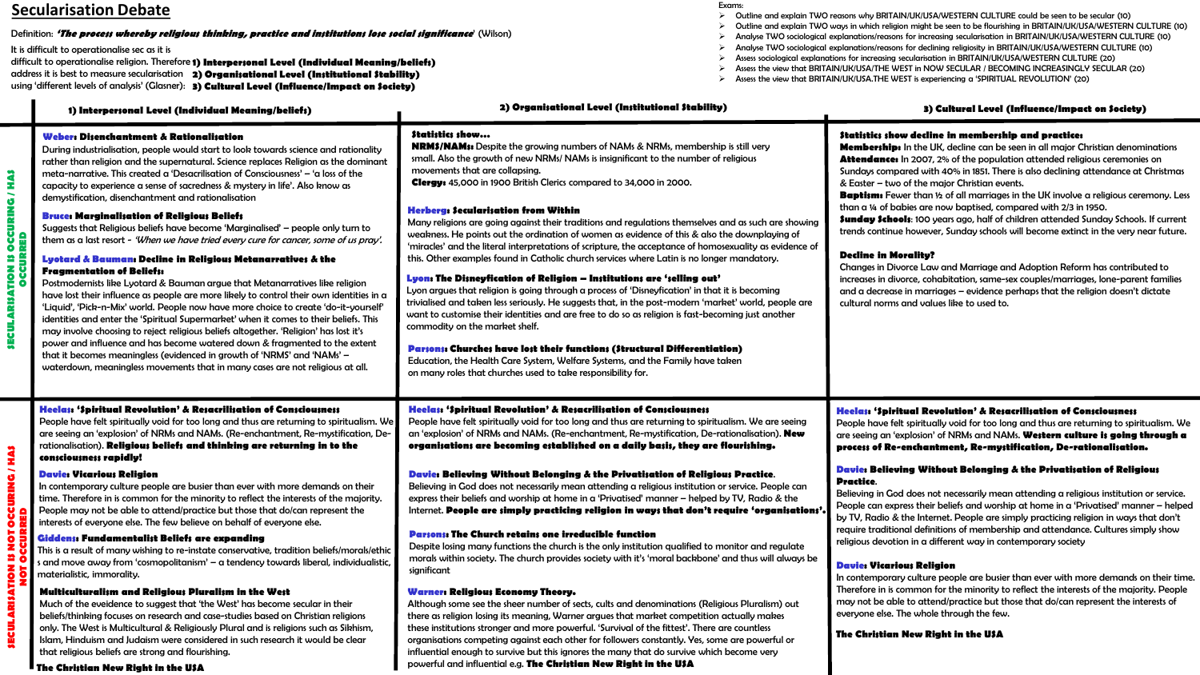## **Secularisation Debate**

#### Definition: **'The process whereby religious thinking, practice and institutions lose social significance**' (Wilson)

It is difficult to operationalise sec as it is

difficult to operationalise religion. Therefore **1) Interpersonal Level (Individual Meaning/beliefs)** address it is best to measure secularisation 2) Organisational Level (Institutional Stability) using 'different levels of analysis' (Glasner): 3) Cultural Level (Influence/Impact on Society)

|                                                             | 1) Interpersonal Level (Individual Meaning/beliefs)                                                                                                                                                                                                                                                                                                                                                                                                                                                                                                                                                                                                                                                                                                                                                                                                                                                                                                                                                                                                                                                                                                                                                                                                                                                                                                                                                                                                                                        | 2) Organisational Level (Institutional Stability)                                                                                                                                                                                                                                                                                                                                                                                                                                                                                                                                                                                                                                                                                                                                                                                                                                                                                                                                                                                                                                                                                                                                                                                                                                                                                                                                                                              | 3) Cultural Level (Influence/Impact on Society)                                                                                                                                                                                                                                                                                                                                                                                                                                                                                                                                                                                                                                                                                                                                                                                                                                                                                                                                                                                                                              |  |
|-------------------------------------------------------------|--------------------------------------------------------------------------------------------------------------------------------------------------------------------------------------------------------------------------------------------------------------------------------------------------------------------------------------------------------------------------------------------------------------------------------------------------------------------------------------------------------------------------------------------------------------------------------------------------------------------------------------------------------------------------------------------------------------------------------------------------------------------------------------------------------------------------------------------------------------------------------------------------------------------------------------------------------------------------------------------------------------------------------------------------------------------------------------------------------------------------------------------------------------------------------------------------------------------------------------------------------------------------------------------------------------------------------------------------------------------------------------------------------------------------------------------------------------------------------------------|--------------------------------------------------------------------------------------------------------------------------------------------------------------------------------------------------------------------------------------------------------------------------------------------------------------------------------------------------------------------------------------------------------------------------------------------------------------------------------------------------------------------------------------------------------------------------------------------------------------------------------------------------------------------------------------------------------------------------------------------------------------------------------------------------------------------------------------------------------------------------------------------------------------------------------------------------------------------------------------------------------------------------------------------------------------------------------------------------------------------------------------------------------------------------------------------------------------------------------------------------------------------------------------------------------------------------------------------------------------------------------------------------------------------------------|------------------------------------------------------------------------------------------------------------------------------------------------------------------------------------------------------------------------------------------------------------------------------------------------------------------------------------------------------------------------------------------------------------------------------------------------------------------------------------------------------------------------------------------------------------------------------------------------------------------------------------------------------------------------------------------------------------------------------------------------------------------------------------------------------------------------------------------------------------------------------------------------------------------------------------------------------------------------------------------------------------------------------------------------------------------------------|--|
| <b>THIAS</b><br><b>OCCURING</b><br><b>SECULARISATION IS</b> | Weber: Disenchantment & Rationalisation<br>During industrialisation, people would start to look towards science and rationality<br>rather than religion and the supernatural. Science replaces Religion as the dominant<br>meta-narrative. This created a 'Desacrilisation of Consciousness' - 'a loss of the<br>capacity to experience a sense of sacredness & mystery in life'. Also know as<br>demystification, disenchantment and rationalisation<br><b>Bruce: Marginalisation of Religious Beliefs</b><br>Suggests that Religious beliefs have become 'Marginalised' - people only turn to<br>them as a last resort - 'When we have tried every cure for cancer, some of us pray'.<br>Lyotard & Bauman: Decline in Religious Metanarratives & the<br><b>Fragmentation of Beliefs:</b><br>Postmodernists like Lyotard & Bauman argue that Metanarratives like religion<br>have lost their influence as people are more likely to control their own identities in a<br>'Liquid', 'Pick-n-Mix' world. People now have more choice to create 'do-it-yourself'<br>identities and enter the 'Spiritual Supermarket' when it comes to their beliefs. This<br>may involve choosing to reject religious beliefs altogether. 'Religion' has lost it's<br>power and influence and has become watered down & fragmented to the extent<br>that it becomes meaningless (evidenced in growth of 'NRMS' and 'NAMs' –<br>waterdown, meaningless movements that in many cases are not religious at all. | Statistics show<br><b>NRM\$/NAM\$:</b> Despite the growing numbers of NAMs & NRMs, membership is still very<br>small. Also the growth of new NRMs/ NAMs is insignificant to the number of religious<br>movements that are collapsing.<br>Clergy: 45,000 in 1900 British Clerics compared to 34,000 in 2000.<br>Herberg: Secularisation from Within<br>Many religions are going against their traditions and regulations themselves and as such are showing<br>weakness. He points out the ordination of women as evidence of this & also the downplaying of<br>'miracles' and the literal interpretations of scripture, the acceptance of homosexuality as evidence of<br>this. Other examples found in Catholic church services where Latin is no longer mandatory.<br>Lyon: The Disneyfication of Religion — Institutions are 'selling out'<br>Lyon argues that religion is going through a process of 'Disneyfication' in that it is becoming<br>trivialised and taken less seriously. He suggests that, in the post-modern 'market' world, people are<br>want to customise their identities and are free to do so as religion is fast-becoming just another<br>commodity on the market shelf.<br>Parsons: Churches have lost their functions (Structural Differentiation)<br>Education, the Health Care System, Welfare Systems, and the Family have taken<br>on many roles that churches used to take responsibility for. | Statistics show decline in membership and practice:<br><b>Memberships</b> In the UK, decline can be seen in all major Christian denominations<br><b>Attendance:</b> In 2007, 2% of the population attended religious ceremonies on<br>Sundays compared with 40% in 1851. There is also declining attendance at Christmas<br>& Easter - two of the major Christian events.<br><b>Baptisms</b> Fewer than 1/2 of all marriages in the UK involve a religious ceremony. Less<br>than a 14 of babies are now baptised, compared with 2/3 in 1950.<br><b>\$unday \$chools:</b> 100 years ago, half of children attended Sunday Schools. If current<br>trends continue however, Sunday schools will become extinct in the very near future.<br><b>Decline in Morality?</b><br>Changes in Divorce Law and Marriage and Adoption Reform has contributed to<br>increases in divorce, cohabitation, same-sex couples/marriages, lone-parent families<br>and a decrease in marriages - evidence perhaps that the religion doesn't dictate<br>cultural norms and values like to used to. |  |
| <b>CURING/HAS</b><br>Ŏ<br>z<br><b>SECULARISATIO</b>         | Heelas: 'Spiritual Revolution' & Resacrilisation of Consciousness<br>People have felt spiritually void for too long and thus are returning to spiritualism. We<br>are seeing an 'explosion' of NRMs and NAMs. (Re-enchantment, Re-mystification, De-<br>rationalisation). Religious beliefs and thinking are returning in to the<br>consciousness rapidly!                                                                                                                                                                                                                                                                                                                                                                                                                                                                                                                                                                                                                                                                                                                                                                                                                                                                                                                                                                                                                                                                                                                                 | Heelas: 'Spiritual Revolution' & Resacrilisation of Consciousness<br>People have felt spiritually void for too long and thus are returning to spiritualism. We are seeing<br>an 'explosion' of NRMs and NAMs. (Re-enchantment, Re-mystification, De-rationalisation). <b>New</b><br>organisations are becoming established on a daily basis, they are flourishing.                                                                                                                                                                                                                                                                                                                                                                                                                                                                                                                                                                                                                                                                                                                                                                                                                                                                                                                                                                                                                                                             | Heelas: 'Spiritual Revolution' & Resacrilisation of Consciousness<br>People have felt spiritually void for too long and thus are returning to spiritualism. We<br>are seeing an 'explosion' of NRMs and NAMs. Western culture is going through a<br>process of Re-enchantment, Re-mystification, De-rationalisation.                                                                                                                                                                                                                                                                                                                                                                                                                                                                                                                                                                                                                                                                                                                                                         |  |
|                                                             | <b>Davie: Vicarious Religion</b><br>In contemporary culture people are busier than ever with more demands on their<br>time. Therefore in is common for the minority to reflect the interests of the majority.<br>People may not be able to attend/practice but those that do/can represent the<br>interests of everyone else. The few believe on behalf of everyone else.<br>Giddens: Fundamentalist Beliefs are expanding<br>This is a result of many wishing to re-instate conservative, tradition beliefs/morals/ethio<br>s and move away from 'cosmopolitanism' - a tendency towards liberal, individualistic                                                                                                                                                                                                                                                                                                                                                                                                                                                                                                                                                                                                                                                                                                                                                                                                                                                                          | Davie: Believing Without Belonging & the Privatisation of Religious Practice.<br>Believing in God does not necessarily mean attending a religious institution or service. People can<br>express their beliefs and worship at home in a 'Privatised' manner - helped by TV, Radio & the<br>Internet. People are simply practicing religion in ways that don't require 'organisations'<br><b>Parsons: The Church retains one irreducible function</b><br>Despite losing many functions the church is the only institution qualified to monitor and regulate<br>morals within society. The church provides society with it's 'moral backbone' and thus will always be                                                                                                                                                                                                                                                                                                                                                                                                                                                                                                                                                                                                                                                                                                                                                             | Davie: Believing Without Belonging & the Privatisation of Religious<br>Practice.<br>Believing in God does not necessarily mean attending a religious institution or service.<br>People can express their beliefs and worship at home in a 'Privatised' manner - helped<br>by TV, Radio & the Internet. People are simply practicing religion in ways that don't<br>require traditional definitions of membership and attendance. Cultures simply show<br>religious devotion in a different way in contemporary society                                                                                                                                                                                                                                                                                                                                                                                                                                                                                                                                                       |  |
|                                                             | materialistic, immorality.<br>Multiculturalism and Religious Pluralism in the West<br>Much of the eveidence to suggest that 'the West' has become secular in their<br>beliefs/thinking focuses on research and case-studies based on Christian religions<br>only. The West is Multicultural & Religiously Plural and is religions such as Sikhism,<br>Islam, Hinduism and Judaism were considered in such research it would be clear<br>that religious beliefs are strong and flourishing.                                                                                                                                                                                                                                                                                                                                                                                                                                                                                                                                                                                                                                                                                                                                                                                                                                                                                                                                                                                                 | significant<br>Warner: Religious Economy Theory.<br>Although some see the sheer number of sects, cults and denominations (Religious Pluralism) out<br>there as religion losing its meaning, Warner argues that market competition actually makes<br>these institutions stronger and more powerful. 'Survival of the fittest'. There are countless<br>organisations competing against each other for followers constantly. Yes, some are powerful or<br>influential enough to survive but this ignores the many that do survive which become very                                                                                                                                                                                                                                                                                                                                                                                                                                                                                                                                                                                                                                                                                                                                                                                                                                                                               | <b>Davie: Vicarious Religion</b><br>In contemporary culture people are busier than ever with more demands on their time.<br>Therefore in is common for the minority to reflect the interests of the majority. People<br>may not be able to attend/practice but those that do/can represent the interests of<br>everyone else. The whole through the few.<br>The Christian New Right in the USA                                                                                                                                                                                                                                                                                                                                                                                                                                                                                                                                                                                                                                                                               |  |

- ➢ Outline and explain TWO reasons why BRITAIN/UK/USA/WESTERN CULTURE could be seen to be secular (10)
- ➢ Outline and explain TWO ways in which religion might be seen to be flourishing in BRITAIN/UK/USA/WESTERN CULTURE (10)
- ➢ Analyse TWO sociological explanations/reasons for increasing secularisation in BRITAIN/UK/USA/WESTERN CULTURE (10)
- ➢ Analyse TWO sociological explanations/reasons for declining religiosity in BRITAIN/UK/USA/WESTERN CULTURE (10)
- ➢ Assess sociological explanations for increasing secularisation in BRITAIN/UK/USA/WESTERN CULTURE (20)
- ➢ Assess the view that BRITAIN/UK/USA/THE WEST in NOW SECULAR / BECOMING INCREASINGLY SECULAR (20)
- ➢ Assess the view that BRITAIN/UK/USA.THE WEST is experiencing a 'SPIRITUAL REVOLUTION' (20)

influential enough to survive but this ignores the many that do survive which become very powerful and influential e.g. **The Christian New Right in the USA**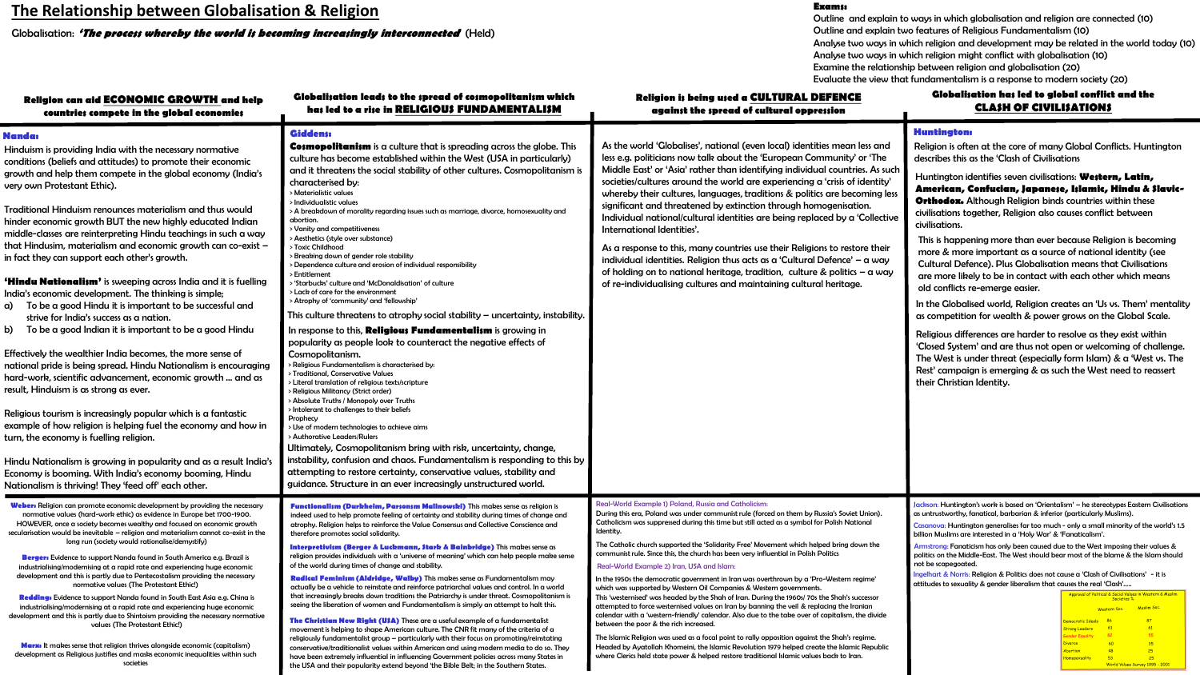## **The Relationship between Globalisation & Religion**

Globalisation: **'The process whereby the world is becoming increasingly interconnected**' (Held)

#### **Exams:**

Outline and explain to ways in which globalisation and religion are connected (10) Outline and explain two features of Religious Fundamentalism (10) Analyse two ways in which religion and development may be related in the world today (10) Analyse two ways in which religion might conflict with globalisation (10) Examine the relationship between religion and globalisation (20) Evaluate the view that fundamentalism is a response to modern society (20)

| Religion can aid ECONOMIC GROWTH and help<br>countries compete in the global economies                                                                                                                                                                                                                                                                                                                                                                                                                                                                                                                                                                                                                                                                                                                                                                                                                                                                                                                                                                                                                                                                                                                                                                                                                                                                                                                                                                                     | Globalisation leads to the spread of cosmopolitanism which<br>has led to a rise in RELIGIOUS FUNDAMENTALISM                                                                                                                                                                                                                                                                                                                                                                                                                                                                                                                                                                                                                                                                                                                                                                                                                                                                                                                                                                                                                                                                                                                                                                                                                                                                                                                                                                                                                                                                                                                                                                                                                                 | <b>Religion is being used a CULTURAL DEFENCE</b><br>against the spread of cultural oppression                                                                                                                                                                                                                                                                                                                                                                                                                                                                                                                                                                                                                                                                                                                                                                                                                                                                                                                                                                                                                                                                                                                                                                                                               | Globalisation has led to global conflict and the<br><b>CLASH OF CIVILISATIONS</b>                                                                                                                                                                                                                                                                                                                                                                                                                                                                                                                                                                                                                                                                                                                                                                                                                                                                                                                                                                                                                                                                                                  |
|----------------------------------------------------------------------------------------------------------------------------------------------------------------------------------------------------------------------------------------------------------------------------------------------------------------------------------------------------------------------------------------------------------------------------------------------------------------------------------------------------------------------------------------------------------------------------------------------------------------------------------------------------------------------------------------------------------------------------------------------------------------------------------------------------------------------------------------------------------------------------------------------------------------------------------------------------------------------------------------------------------------------------------------------------------------------------------------------------------------------------------------------------------------------------------------------------------------------------------------------------------------------------------------------------------------------------------------------------------------------------------------------------------------------------------------------------------------------------|---------------------------------------------------------------------------------------------------------------------------------------------------------------------------------------------------------------------------------------------------------------------------------------------------------------------------------------------------------------------------------------------------------------------------------------------------------------------------------------------------------------------------------------------------------------------------------------------------------------------------------------------------------------------------------------------------------------------------------------------------------------------------------------------------------------------------------------------------------------------------------------------------------------------------------------------------------------------------------------------------------------------------------------------------------------------------------------------------------------------------------------------------------------------------------------------------------------------------------------------------------------------------------------------------------------------------------------------------------------------------------------------------------------------------------------------------------------------------------------------------------------------------------------------------------------------------------------------------------------------------------------------------------------------------------------------------------------------------------------------|-------------------------------------------------------------------------------------------------------------------------------------------------------------------------------------------------------------------------------------------------------------------------------------------------------------------------------------------------------------------------------------------------------------------------------------------------------------------------------------------------------------------------------------------------------------------------------------------------------------------------------------------------------------------------------------------------------------------------------------------------------------------------------------------------------------------------------------------------------------------------------------------------------------------------------------------------------------------------------------------------------------------------------------------------------------------------------------------------------------------------------------------------------------------------------------------------------------------------------------------------------------------------------------------------------------|------------------------------------------------------------------------------------------------------------------------------------------------------------------------------------------------------------------------------------------------------------------------------------------------------------------------------------------------------------------------------------------------------------------------------------------------------------------------------------------------------------------------------------------------------------------------------------------------------------------------------------------------------------------------------------------------------------------------------------------------------------------------------------------------------------------------------------------------------------------------------------------------------------------------------------------------------------------------------------------------------------------------------------------------------------------------------------------------------------------------------------------------------------------------------------|
| Nanda:<br>Hinduism is providing India with the necessary normative<br>conditions (beliefs and attitudes) to promote their economic<br>growth and help them compete in the global economy (India's<br>very own Protestant Ethic).<br>Traditional Hinduism renounces materialism and thus would<br>hinder economic growth BUT the new highly educated Indian<br>middle-classes are reinterpreting Hindu teachings in such a way<br>that Hindusim, materialism and economic growth can co-exist -<br>in fact they can support each other's growth.<br><b>'Hindu Nationalism'</b> is sweeping across India and it is fuelling<br>India's economic development. The thinking is simple;<br>a) To be a good Hindu it is important to be successful and<br>strive for India's success as a nation.<br>b) To be a good Indian it is important to be a good Hindu<br>Effectively the wealthier India becomes, the more sense of<br>national pride is being spread. Hindu Nationalism is encouraging<br>hard-work, scientific advancement, economic growth  and as<br>result, Hinduism is as strong as ever.<br>Religious tourism is increasingly popular which is a fantastic<br>example of how religion is helping fuel the economy and how in<br>turn, the economy is fuelling religion.<br>Hindu Nationalism is growing in popularity and as a result India's<br>Economy is booming. With India's economy booming, Hindu<br>Nationalism is thriving! They 'feed off' each other. | <b>Giddens:</b><br><b>Cosmopolitanism</b> is a culture that is spreading across the globe. This<br>culture has become established within the West (USA in particularly)<br>and it threatens the social stability of other cultures. Cosmopolitanism is<br>characterised by:<br>> Materialistic values<br>> Individualistic values<br>> A breakdown of morality regarding issues such as marriage, divorce, homosexuality and<br>abortion.<br>> Vanity and competitiveness<br>> Aesthetics (style over substance)<br>> Toxic Childhood<br>> Breaking down of gender role stability<br>> Dependence culture and erosion of individual responsibility<br>> Entitlement<br>> 'Starbucks' culture and 'McDonaldisation' of culture<br>> Lack of care for the environment<br>> Atrophy of 'community' and 'fellowship'<br>This culture threatens to atrophy social stability $-$ uncertainty, instability.<br>In response to this, <b>Religious Fundamentalism</b> is growing in<br>popularity as people look to counteract the negative effects of<br>Cosmopolitanism.<br>> Religious Fundamentalism is characterised by:<br>> Traditional, Conservative Values<br>> Literal translation of religious texts/scripture<br>> Religious Militancy (Strict order)<br>> Absolute Truths / Monopoly over Truths<br>> Intolerant to challenges to their beliefs<br>Prophecy<br>> Use of modern technologies to achieve aims<br>> Authorative Leaders/Rulers<br>Ultimately, Cosmopolitanism bring with risk, uncertainty, change,<br>instability, confusion and chaos. Fundamentalism is responding to this by<br>attempting to restore certainty, conservative values, stability and<br>guidance. Structure in an ever increasingly unstructured world. | As the world 'Globalises', national (even local) identities mean less and<br>less e.g. politicians now talk about the 'European Community' or 'The<br>Middle East' or 'Asia' rather than identifying individual countries. As such<br>societies/cultures around the world are experiencing a 'crisis of identity'<br>whereby their cultures, languages, traditions & politics are becoming less<br>significant and threatened by extinction through homogenisation.<br>Individual national/cultural identities are being replaced by a 'Collective<br>International Identities'.<br>As a response to this, many countries use their Religions to restore their<br>individual identities. Religion thus acts as a 'Cultural Defence' $-$ a way<br>of holding on to national heritage, tradition, culture & politics $-\alpha$ way<br>of re-individualising cultures and maintaining cultural heritage.                                                                                                                                                                                                                                                                                                                                                                                                       | <b>Huntington:</b><br>Religion is often at the core of many Global Conflicts. Huntington<br>describes this as the 'Clash of Civilisations<br>Huntington identifies seven civilisations: Western, Latin,<br>American, Confucian, Japanese, Islamic, Hindu & Slavic-<br>Orthodox. Although Religion binds countries within these<br>civilisations together, Religion also causes conflict between<br>civilisations.<br>This is happening more than ever because Religion is becoming<br>more & more important as a source of national identity (see<br><b>Cultural Defence). Plus Globalisation means that Civilisations</b><br>are more likely to be in contact with each other which means<br>old conflicts re-emerge easier.<br>In the Globalised world, Religion creates an 'Us vs. Them' mentality<br>as competition for wealth & power grows on the Global Scale.<br>Religious differences are harder to resolve as they exist within<br>'Closed System' and are thus not open or welcoming of challenge.<br>The West is under threat (especially form Islam) & a 'West vs. The<br>Rest' campaign is emerging & as such the West need to reassert<br>their Christian Identity. |
| Weber: Religion can promote economic development by providing the necessary<br>normative values (hard-work ethic) as evidence in Europe bet 1700-1900.<br>HOWEVER, once a society becomes wealthy and focused on economic growth<br>secularisation would be inevitable - religion and materialism cannot co-exist in the<br>long run (society would rationalise/demystify)<br>Berger: Evidence to support Nanda found in South America e.g. Brazil is<br>industrialising/modernising at a rapid rate and experiencing huge economic<br>development and this is partly due to Pentecostalism providing the necessary<br>normative values (The Protestant Ethic!)<br>Redding: Evidence to support Nanda found in South East Asia e.g. China is<br>industrialising/modernising at a rapid rate and experiencing huge economic<br>development and this is partly due to Shintoism providing the necessary normative<br>values (The Protestant Ethic!)<br><b>Marx:</b> It makes sense that religion thrives alongside economic (capitalism)<br>development as Religious justifies and masks economic inequalities within such<br>societies                                                                                                                                                                                                                                                                                                                                      | Functionalism (Durkheim, Parsonsm Malinowski) This makes sense as religion is<br>indeed used to help promote feeling of certainty and stability during times of change and<br>atrophy. Religion helps to reinforce the Value Consensus and Collective Conscience and<br>therefore promotes social solidarity.<br>Interpretivism (Berger & Luckmann, Stark & Bainbridge) This makes sense as<br>religion provides individuals with a 'universe of meaning' which can help people make sense<br>of the world during times of change and stability.<br>Radical Feminism (Aldridge, Walby) This makes sense as Fundamentalism may<br>actually be a vehicle to reinstate and reinforce patriarchal values and control. In a world<br>that increasingly breaks down traditions the Patriarchy is under threat. Cosmopolitanism is<br>seeing the liberation of women and Fundamentalism is simply an attempt to halt this.<br>The Christian New Right (U\$A) These are a useful example of a fundamentalist<br>movement is helping to shape American culture. The CNR fit many of the criteria of a<br>religiously fundamentalist group - particularly with their focus on promoting/reinstating<br>conservative/traditionalist values within American and using modern media to do so. They<br>have been extremely influential in influencing Government policies across many States in<br>the USA and their popularity extend beyond 'the Bible Belt; in the Southern States.                                                                                                                                                                                                                                                                    | Real-World Example 1) Poland, Russia and Catholicism:<br>During this era, Poland was under communist rule (forced on them by Russia's Soviet Union).<br>Catholicism was suppressed during this time but still acted as a symbol for Polish National<br>Identity.<br>The Catholic church supported the 'Solidarity Free' Movement which helped bring down the<br>communist rule. Since this, the church has been very influential in Polish Politics<br>Real-World Example 2) Iran, USA and Islam:<br>In the 1950s the democratic government in Iran was overthrown by a 'Pro-Western regime'<br>which was supported by Western Oil Companies & Western governments.<br>This 'westernised' was headed by the Shah of Iran. During the 1960s/70s the Shah's successor<br>attempted to force westernised values on Iran by banning the veil & replacing the Iranian<br>calendar with a 'western-friendly' calendar. Also due to the take over of capitalism, the divide<br>between the poor & the rich increased.<br>The Islamic Religion was used as a focal point to rally opposition against the Shah's regime.<br>Headed by Ayatollah Khomeini, the Islamic Revolution 1979 helped create the Islamic Republic<br>where Clerics held state power & helped restore traditional Islamic values back to Iran. | lackson: Huntington's work is based on 'Orientalism' – he stereotypes Eastern Civilisations<br>as untrustworthy, fanatical, barbarian & inferior (particularly Muslims).<br>Casanova: Huntington generalises far too much - only a small minority of the world's 1.5<br>billion Muslims are interested in a 'Holy War' & 'Fanaticalism'.<br>Armstrong: Fanaticism has only been caused due to the West imposing their values &<br>politics on the Middle-East. The West should bear most of the blame & the Islam should<br>not be scapegoated.<br>Ingelhart & Norris: Religion & Politics does not cause a 'Clash of Civilisations' - it is<br>attitudes to sexuality & gender liberalism that causes the real 'Clash'<br>Approval of Political & Social Values in Western & Muslim<br><b>Muslim Soc</b><br><b>Western Soc</b><br>87<br>86<br>nocratic Ideale<br>$-61$<br>$-61$<br>trong Leaders<br>55<br>82<br>35<br>60<br>$-48$<br><b>Ibortion</b><br>25<br>$-53$<br>25<br>World Values Survey 1995 - 2001                                                                                                                                                                      |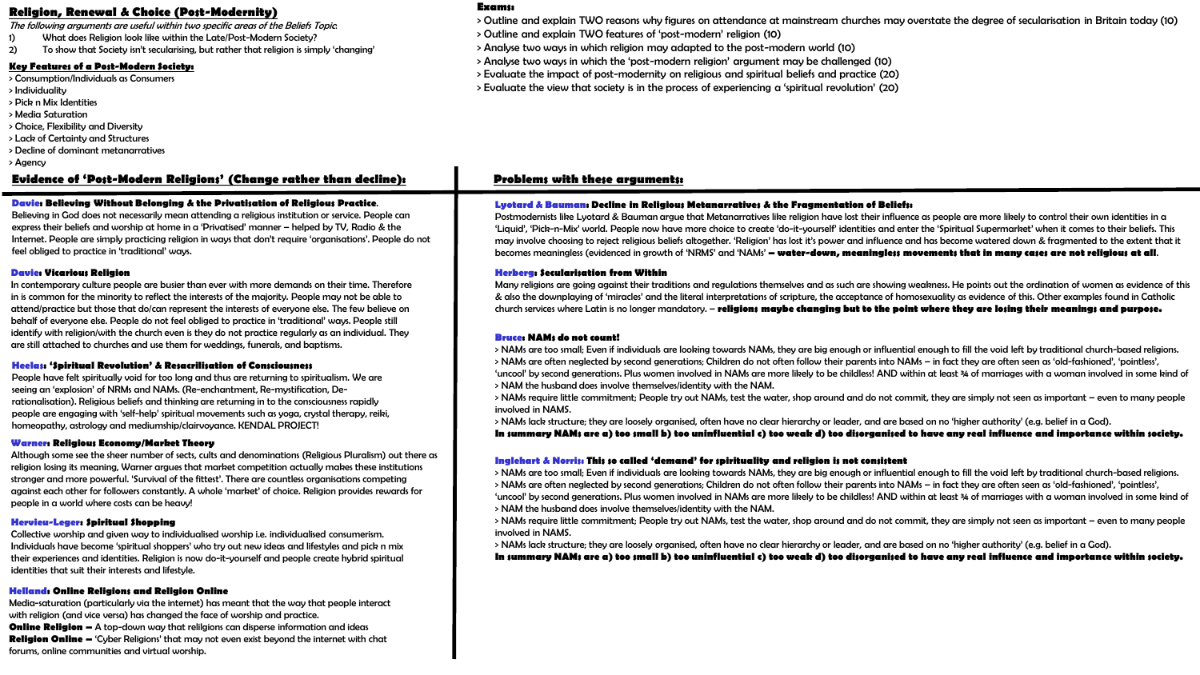### **Religion, Renewal & Choice (Post-Modernity)**

The following arguments are useful within two specific areas of the Beliefs Topic:

- 1) What does Religion look like within the Late/Post-Modern Society?
- 2) To show that Society isn't secularising, but rather that religion is simply 'changing'

#### **Key Features of a Post-Modern Society:**

- > Consumption/Individuals as Consumers
- > Individuality
- > Pick n Mix Identities
- > Media Saturation
- > Choice, Flexibility and Diversity
- > Lack of Certainty and Structures
- > Decline of dominant metanarratives
- > Agency

### **Evidence of 'Post-Modern Religions' (Change rather than decline):**

#### **Davie: Believing Without Belonging & the Privatisation of Religious Practice**.

Believing in God does not necessarily mean attending a religious institution or service. People can express their beliefs and worship at home in a 'Privatised' manner – helped by TV, Radio & the Internet. People are simply practicing religion in ways that don't require 'organisations'. People do not feel obliged to practice in 'traditional' ways.

#### **Davie: Vicarious Religion**

In contemporary culture people are busier than ever with more demands on their time. Therefore in is common for the minority to reflect the interests of the majority. People may not be able to attend/practice but those that do/can represent the interests of everyone else. The few believe on behalf of everyone else. People do not feel obliged to practice in 'traditional' ways. People still identify with religion/with the church even is they do not practice regularly as an individual. They are still attached to churches and use them for weddings, funerals, and baptisms.

#### **Heelas: 'Spiritual Revolution' & Resacrilisation of Consciousness**

People have felt spiritually void for too long and thus are returning to spiritualism. We are seeing an 'explosion' of NRMs and NAMs. (Re-enchantment, Re-mystification, Derationalisation). Religious beliefs and thinking are returning in to the consciousness rapidly people are engaging with 'self-help' spiritual movements such as yoga, crystal therapy, reiki, homeopathy, astrology and mediumship/clairvoyance. KENDAL PROJECT!

#### **Warner: Religious Economy/Market Theory**

Although some see the sheer number of sects, cults and denominations (Religious Pluralism) out there as religion losing its meaning, Warner argues that market competition actually makes these institutions stronger and more powerful. 'Survival of the fittest'. There are countless organisations competing against each other for followers constantly. A whole 'market' of choice. Religion provides rewards for people in a world where costs can be heavy!

#### **Hervieu-Leger: Spiritual Shopping**

Collective worship and given way to individualised worship i.e. individualised consumerism. Individuals have become 'spiritual shoppers' who try out new ideas and lifestyles and pick n mix their experiences and identities. Religion is now do-it-yourself and people create hybrid spiritual identities that suit their interests and lifestyle.

#### **Helland: Online Religions and Religion Online**

Media-saturation (particularly via the internet) has meant that the way that people interact with religion (and vice versa) has changed the face of worship and practice. **Online Religion –** A top-down way that relilgions can disperse information and ideas **Religion Online –** 'Cyber Religions' that may not even exist beyond the internet with chat forums, online communities and virtual worship.

#### **Exams:**

- > Outline and explain TWO reasons why figures on attendance at mainstream churches may overstate the degree of secularisation in Britain today (10)
- > Outline and explain TWO features of 'post-modern' religion (10)
- > Analyse two ways in which religion may adapted to the post-modern world (10)
- > Analyse two ways in which the 'post-modern religion' argument may be challenged (10)
- > Evaluate the impact of post-modernity on religious and spiritual beliefs and practice (20)
- > Evaluate the view that society is in the process of experiencing a 'spiritual revolution' (20)

### **Problems with these arguments:**

#### **Lyotard & Bauman: Decline in Religious Metanarratives & the Fragmentation of Beliefs:**

Postmodernists like Lyotard & Bauman argue that Metanarratives like religion have lost their influence as people are more likely to control their own identities in a 'Liquid', 'Pick-n-Mix' world. People now have more choice to create 'do-it-yourself' identities and enter the 'Spiritual Supermarket' when it comes to their beliefs. This may involve choosing to reject religious beliefs altogether. 'Religion' has lost it's power and influence and has become watered down & fragmented to the extent that it becomes meaningless (evidenced in growth of 'NRMS' and 'NAMs' **– water-down, meaningless movements that in many cases are not religious at all**.

#### **Herberg: Secularisation from Within**

Many religions are going against their traditions and regulations themselves and as such are showing weakness. He points out the ordination of women as evidence of this & also the downplaying of 'miracles' and the literal interpretations of scripture, the acceptance of homosexuality as evidence of this. Other examples found in Catholic church services where Latin is no longer mandatory. – **religions maybe changing but to the point where they are losing their meanings and purpose.**

#### **Bruce: NAMs do not count!**

> NAMs are too small; Even if individuals are looking towards NAMs, they are big enough or influential enough to fill the void left by traditional church-based religions. > NAMs are often neglected by second generations; Children do not often follow their parents into NAMs – in fact they are often seen as 'old-fashioned', 'pointless',

'uncool' by second generations. Plus women involved in NAMs are more likely to be childless! AND within at least ¾ of marriages with a woman involved in some kind of > NAM the husband does involve themselves/identity with the NAM.

> NAMs require little commitment; People try out NAMs, test the water, shop around and do not commit, they are simply not seen as important – even to many people involved in NAMS.

> NAMs lack structure; they are loosely organised, often have no clear hierarchy or leader, and are based on no 'higher authority' (e.g. belief in a God).

**In summary NAMs are a) too small b) too uninfluential c) too weak d) too disorganised to have any real influence and importance within society.**

#### **Inglehart & Norris: This so called 'demand' for spirituality and religion is not consistent**

> NAMs are too small; Even if individuals are looking towards NAMs, they are big enough or influential enough to fill the void left by traditional church-based religions. > NAMs are often neglected by second generations; Children do not often follow their parents into NAMs – in fact they are often seen as 'old-fashioned', 'pointless',

'uncool' by second generations. Plus women involved in NAMs are more likely to be childless! AND within at least ¾ of marriages with a woman involved in some kind of > NAM the husband does involve themselves/identity with the NAM.

> NAMs require little commitment; People try out NAMs, test the water, shop around and do not commit, they are simply not seen as important – even to many people involved in NAMS.

> NAMs lack structure; they are loosely organised, often have no clear hierarchy or leader, and are based on no 'higher authority' (e.g. belief in a God).

**In summary NAMs are a) too small b) too uninfluential c) too weak d) too disorganised to have any real influence and importance within society.**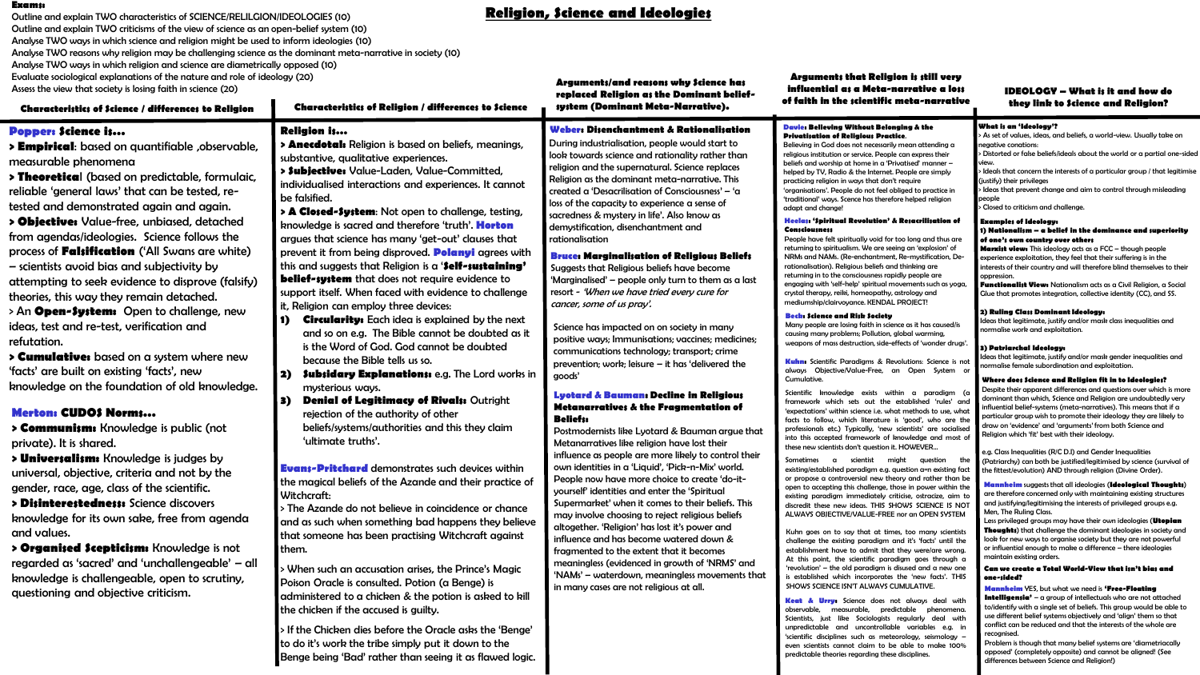**Religion, Science and Ideologies Exams:** Outline and explain TWO characteristics of SCIENCE/RELILGION/IDEOLOGIES (10) Outline and explain TWO criticisms of the view of science as an open-belief system (10) Analyse TWO ways in which science and religion might be used to inform ideologies (10) Analyse TWO reasons why religion may be challenging science as the dominant meta-narrative in society (10) Analyse TWO ways in which religion and science are diametrically opposed (10) Evaluate sociological explanations of the nature and role of ideology (20)

Assess the view that society is losing faith in science (20)

**Arguments/and reasons why Science has replaced Religion as the Dominant beliefsystem (Dominant Meta-Narrative).**

**Arguments that Religion is still very influential as a Meta-narrative a loss of faith in the scientific meta-narrative**

Scientists, just like Sociologists regularly deal with unpredictable and uncontrollable variables e.g. in 'scientific disciplines such as meteorology, seismology – even scientists cannot claim to be able to make 100% predictable theories regarding these disciplines.

**IDEOLOGY – What is it and how do they link to Science and Religion?**

conflict can be reduced and that the interests of the whole are

Problem is though that many belief systems are 'diametriacally opposed' (completely opposite) and cannot be aligned! (See

differences between Science and Religion!)

recognised.

#### **Characteristics of Science / differences to Religion Characteristics of Religion / differences to Science Popper: Science is… > Empirical**: based on quantifiable ,observable, measurable phenomena **> Theoretica**l (based on predictable, formulaic, reliable 'general laws' that can be tested, retested and demonstrated again and again. **> Objective:** Value-free, unbiased, detached from agendas/ideologies. Science follows the process of **Falsification** ('All Swans are white) – scientists avoid bias and subjectivity by attempting to seek evidence to disprove (falsify) theories, this way they remain detached. > An **Open-System:** Open to challenge, new ideas, test and re-test, verification and refutation. **> Cumulative:** based on a system where new 'facts' are built on existing 'facts', new knowledge on the foundation of old knowledge. **Merton: CUDOS Norms… > Communism:** Knowledge is public (not private). It is shared. **> Universalism:** Knowledge is judges by universal, objective, criteria and not by the gender, race, age, class of the scientific. **> Disinterestedness:** Science discovers knowledge for its own sake, free from agenda and values. **> Organised Scepticism:** Knowledge is not regarded as 'sacred' and 'unchallengeable' – all knowledge is challengeable, open to scrutiny, questioning and objective criticism. **Religion is… > Anecdotal:** Religion is based on beliefs, meanings, substantive, qualitative experiences. **> Subjective:** Value-Laden, Value-Committed, individualised interactions and experiences. It cannot be falsified. **> A Closed-System**: Not open to challenge, testing, knowledge is sacred and therefore 'truth'. **Horton** argues that science has many 'get-out' clauses that prevent it from being disproved. **Polanyi** agrees with this and suggests that Religion is a '**Self-sustaining' belief-system** that does not require evidence to support itself. When faced with evidence to challenge it, Religion can employ three devices: **1) Circularity:** Each idea is explained by the next and so on e.g. The Bible cannot be doubted as it is the Word of God. God cannot be doubted because the Bible tells us so. **2) Subsidary Explanations:** e.g. The Lord works in mysterious ways. **3) Denial of Legitimacy of Rivals:** Outright rejection of the authority of other beliefs/systems/authorities and this they claim 'ultimate truths'. **Evans-Pritchard** demonstrates such devices within the magical beliefs of the Azande and their practice of Witchcraft: > The Azande do not believe in coincidence or chance and as such when something bad happens they believe that someone has been practising Witchcraft against them. > When such an accusation arises, the Prince's Magic Poison Oracle is consulted. Potion (a Benge) is administered to a chicken & the potion is asked to kill the chicken if the accused is guilty. **Weber: Disenchantment & Rationalisation** During industrialisation, people would start to look towards science and rationality rather than religion and the supernatural. Science replaces Religion as the dominant meta-narrative. This created a 'Desacrilisation of Consciousness' – 'a loss of the capacity to experience a sense of sacredness & mystery in life'. Also know as demystification, disenchantment and rationalisation **Bruce: Marginalisation of Religious Beliefs** Suggests that Religious beliefs have become 'Marginalised' – people only turn to them as a last resort - 'When we have tried every cure for cancer, some of us pray'. **Lyotard & Bauman: Decline in Religious Metanarratives & the Fragmentation of Beliefs:** Postmodernists like Lyotard & Bauman argue that Metanarratives like religion have lost their influence as people are more likely to control their own identities in a 'Liquid', 'Pick-n-Mix' world. People now have more choice to create 'do-ityourself' identities and enter the 'Spiritual Supermarket' when it comes to their beliefs. This may involve choosing to reject religious beliefs altogether. 'Religion' has lost it's power and influence and has become watered down & fragmented to the extent that it becomes meaningless (evidenced in growth of 'NRMS' and 'NAMs' – waterdown, meaningless movements that in many cases are not religious at all. Science has impacted on on society in many positive ways; Immunisations; vaccines; medicines; communications technology; transport; crime prevention; work; leisure – it has 'delivered the goods' **Davie: Believing Without Belonging & the Privatisation of Religious Practice**. Believing in God does not necessarily mean attending a religious institution or service. People can express their beliefs and worship at home in a 'Privatised' manner – helped by TV, Radio & the Internet. People are simply practicing religion in ways that don't require 'organisations'. People do not feel obliged to practice in 'traditional' ways. Scence has therefore helped religion adapt and change! **Heelas: 'Spiritual Revolution' & Resacrilisation of Consciousness** People have felt spiritually void for too long and thus are returning to spiritualism. We are seeing an 'explosion' of NRMs and NAMs. (Re-enchantment, Re-mystification, Derationalisation). Religious beliefs and thinking are returning in to the consciousness rapidly people are engaging with 'self-help' spiritual movements such as yoga, crystal therapy, reiki, homeopathy, astrology and mediumship/clairvoyance. KENDAL PROJECT! **Beck: Science and Risk Society**  Many people are losing faith in science as it has caused/is causing many problems; Pollution, global warming, weapons of mass destruction, side-effects of 'wonder drugs'. **Kuhn:** Scientific Paradigms & Revolutions: Science is no always Objective/Value-Free, an Open System or Cumulative. Scientific knowledge exists within a paradigm (c framework which sets out the established 'rules' and 'expectations' within science i.e. what methods to use, what facts to follow, which literature is 'good', who are the professionals etc.) Typically, 'new scientists' are socialised into this accepted framework of knowledge and most of these new scientists don't question it. HOWEVER… Sometimes a scientist might question th existing/established paradigm e.g. question a=n existing fact or propose a controversial new theory and rather than be open to accepting this challenge, those in power within the existing paradigm immediately criticise, ostracize, aim to discredit these new ideas. THIS SHOWS SCIENCE IS NOT ALWAYS OBJECTIVE/VALUE-FREE nor an OPEN SYSTEM Kuhn goes on to say that at times, too many scientists challenge the existing paradigm and it's 'facts' until the establishment have to admit that they were/are wrong. At this point, the scientific paradigm goes through a 'revolution' – the old paradigm is disused and a new one is established which incorporates the 'new facts'. THIS SHOWS SCIENCE ISN'T ALWAYS CUMULATIVE. **Keat & Urry:** Science does not always deal with observable, measurable, predictable phenomena. **What is an 'Ideology'?** > As set of values, ideas, and beliefs, a world-view. Usually take on negative conations: > Distorted or false beliefs/ideals about the world or a partial one-sided view. > Ideals that concern the interests of a particular group / that legitimise (justify) their privileges > Ideas that prevent change and aim to control through misleading people .<br>> Closed to criticism and challenge. **Examples of Ideology: 1) Nationalism – a belief in the dominance and superiority of one's own country over others Marxist view:** This ideology acts as a FCC – though people experience exploitation, they feel that their suffering is in the interests of their country and will therefore blind themselves to their oppression. **Functionalist View:** Nationalism acts as a Civil Religion, a Social Glue that promotes integration, collective identity (CC), and SS. **2) Ruling Class Dominant Ideology:** Ideas that legitimate, justify and/or mask class inequalities and normalise work and exploitation. **3) Patriarchal Ideology:** Ideas that legitimate, justify and/or mask gender inequalities and normalise female subordination and exploitation. **Where does Science and Religion fit in to Ideologies?** Despite their apparent differences and questions over which is more dominant than which, Science and Religion are undoubtedly very influential belief-systems (meta-narratives). This means that if a particular group wish to promote their ideology they are likely to draw on 'evidence' and 'arguments' from both Science and Religion which 'fit' best with their ideology. e.g. Class Inequalities (R/C D.I) and Gender Inequalities (Patriarchy) can both be justified/legitimised by science (survival of the fittest/evolution) AND through religion (Divine Order). **Mannheim** suggests that all ideologies (**Ideological Thoughts**) are therefore concerned only with maintaining existing structures and justifying/legitimising the interests of privileged groups e.g. Men, The Ruling Class. Less privileged groups may have their own ideologies (**Utopian Thoughts**) that challenge the dominant ideologies in society and look for new ways to organise society but they are not powerful or influential enough to make a difference – there ideologies maintain existing orders. **Can we create a Total World-View that isn't bias and one-sided? Mannheim** YES, but what we need is **'Free-Floating Intelligensia**<sup>2</sup> – a group of intellectuals who are not attached to/identify with a single set of beliefs. This group would be able to use different belief systems objectively and 'align' them so that

> If the Chicken dies before the Oracle asks the 'Benge' to do it's work the tribe simply put it down to the Benge being 'Bad' rather than seeing it as flawed logic.